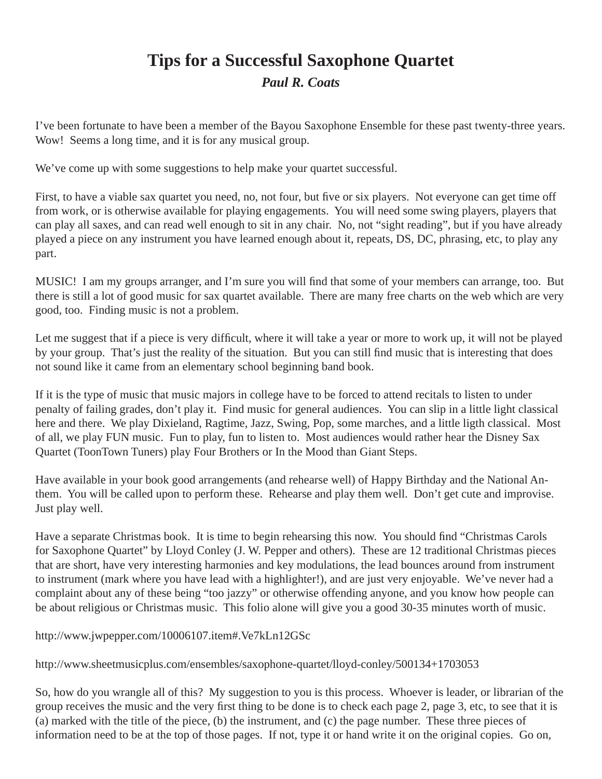## **Tips for a Successful Saxophone Quartet**

*Paul R. Coats*

I've been fortunate to have been a member of the Bayou Saxophone Ensemble for these past twenty-three years. Wow! Seems a long time, and it is for any musical group.

We've come up with some suggestions to help make your quartet successful.

First, to have a viable sax quartet you need, no, not four, but five or six players. Not everyone can get time off from work, or is otherwise available for playing engagements. You will need some swing players, players that can play all saxes, and can read well enough to sit in any chair. No, not "sight reading", but if you have already played a piece on any instrument you have learned enough about it, repeats, DS, DC, phrasing, etc, to play any part.

MUSIC! I am my groups arranger, and I'm sure you will find that some of your members can arrange, too. But there is still a lot of good music for sax quartet available. There are many free charts on the web which are very good, too. Finding music is not a problem.

Let me suggest that if a piece is very difficult, where it will take a year or more to work up, it will not be played by your group. That's just the reality of the situation. But you can still find music that is interesting that does not sound like it came from an elementary school beginning band book.

If it is the type of music that music majors in college have to be forced to attend recitals to listen to under penalty of failing grades, don't play it. Find music for general audiences. You can slip in a little light classical here and there. We play Dixieland, Ragtime, Jazz, Swing, Pop, some marches, and a little ligth classical. Most of all, we play FUN music. Fun to play, fun to listen to. Most audiences would rather hear the Disney Sax Quartet (ToonTown Tuners) play Four Brothers or In the Mood than Giant Steps.

Have available in your book good arrangements (and rehearse well) of Happy Birthday and the National Anthem. You will be called upon to perform these. Rehearse and play them well. Don't get cute and improvise. Just play well.

Have a separate Christmas book. It is time to begin rehearsing this now. You should find "Christmas Carols" for Saxophone Quartet" by Lloyd Conley (J. W. Pepper and others). These are 12 traditional Christmas pieces that are short, have very interesting harmonies and key modulations, the lead bounces around from instrument to instrument (mark where you have lead with a highlighter!), and are just very enjoyable. We've never had a complaint about any of these being "too jazzy" or otherwise offending anyone, and you know how people can be about religious or Christmas music. This folio alone will give you a good 30-35 minutes worth of music.

http://www.jwpepper.com/10006107.item#.Ve7kLn12GSc

http://www.sheetmusicplus.com/ensembles/saxophone-quartet/lloyd-conley/500134+1703053

So, how do you wrangle all of this? My suggestion to you is this process. Whoever is leader, or librarian of the group receives the music and the very first thing to be done is to check each page 2, page 3, etc, to see that it is (a) marked with the title of the piece, (b) the instrument, and (c) the page number. These three pieces of information need to be at the top of those pages. If not, type it or hand write it on the original copies. Go on,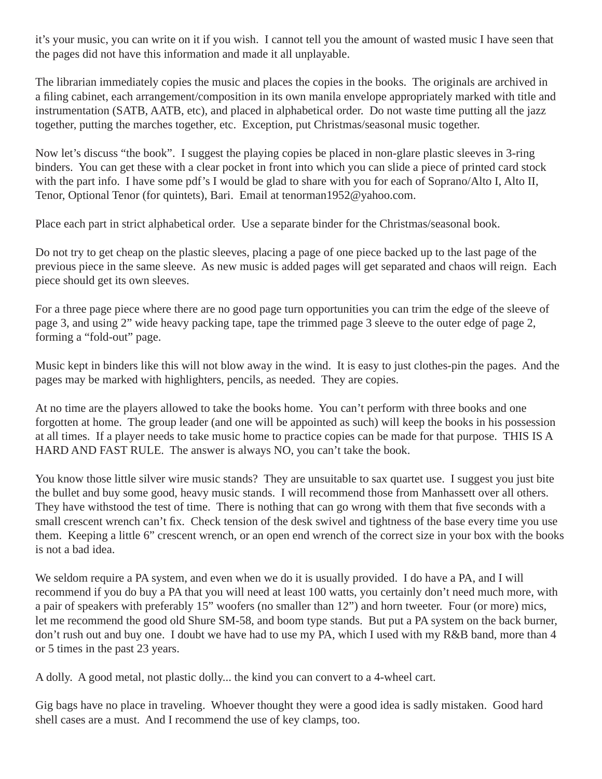it's your music, you can write on it if you wish. I cannot tell you the amount of wasted music I have seen that the pages did not have this information and made it all unplayable.

The librarian immediately copies the music and places the copies in the books. The originals are archived in a filing cabinet, each arrangement/composition in its own manila envelope appropriately marked with title and instrumentation (SATB, AATB, etc), and placed in alphabetical order. Do not waste time putting all the jazz together, putting the marches together, etc. Exception, put Christmas/seasonal music together.

Now let's discuss "the book". I suggest the playing copies be placed in non-glare plastic sleeves in 3-ring binders. You can get these with a clear pocket in front into which you can slide a piece of printed card stock with the part info. I have some pdf's I would be glad to share with you for each of Soprano/Alto I, Alto II, Tenor, Optional Tenor (for quintets), Bari. Email at tenorman1952@yahoo.com.

Place each part in strict alphabetical order. Use a separate binder for the Christmas/seasonal book.

Do not try to get cheap on the plastic sleeves, placing a page of one piece backed up to the last page of the previous piece in the same sleeve. As new music is added pages will get separated and chaos will reign. Each piece should get its own sleeves.

For a three page piece where there are no good page turn opportunities you can trim the edge of the sleeve of page 3, and using 2" wide heavy packing tape, tape the trimmed page 3 sleeve to the outer edge of page 2, forming a "fold-out" page.

Music kept in binders like this will not blow away in the wind. It is easy to just clothes-pin the pages. And the pages may be marked with highlighters, pencils, as needed. They are copies.

At no time are the players allowed to take the books home. You can't perform with three books and one forgotten at home. The group leader (and one will be appointed as such) will keep the books in his possession at all times. If a player needs to take music home to practice copies can be made for that purpose. THIS IS A HARD AND FAST RULE. The answer is always NO, you can't take the book.

You know those little silver wire music stands? They are unsuitable to sax quartet use. I suggest you just bite the bullet and buy some good, heavy music stands. I will recommend those from Manhassett over all others. They have withstood the test of time. There is nothing that can go wrong with them that five seconds with a small crescent wrench can't fix. Check tension of the desk swivel and tightness of the base every time you use them. Keeping a little 6" crescent wrench, or an open end wrench of the correct size in your box with the books is not a bad idea.

We seldom require a PA system, and even when we do it is usually provided. I do have a PA, and I will recommend if you do buy a PA that you will need at least 100 watts, you certainly don't need much more, with a pair of speakers with preferably 15" woofers (no smaller than 12") and horn tweeter. Four (or more) mics, let me recommend the good old Shure SM-58, and boom type stands. But put a PA system on the back burner, don't rush out and buy one. I doubt we have had to use my PA, which I used with my R&B band, more than 4 or 5 times in the past 23 years.

A dolly. A good metal, not plastic dolly... the kind you can convert to a 4-wheel cart.

Gig bags have no place in traveling. Whoever thought they were a good idea is sadly mistaken. Good hard shell cases are a must. And I recommend the use of key clamps, too.